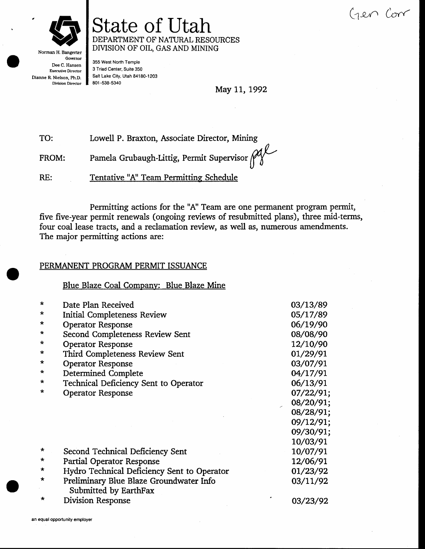(1en Com



# State of Utah DEPARTMENT OF NATURAL RESOURCES DIVISION OF OIL, GAS AND MINING

Norman H. Bangerter Governor Dee C. Hansen **Executive Director** Dianne R. Nielson, Ph.D. **Division Director** 

355 West North Temple 3 Triad Center, Suite 350 Salt Lake City, Utah 84180-1203 801-538-5340

May 11, 1992

TO: Lowell P. Braxton, Associate Director, Mining

Pamela Grubaugh-Littig, Permit Supervisor pal FROM:

 $RE:$ Tentative "A" Team Permitting Schedule

Permitting actions for the "A" Team are one permanent program permit, five five-year permit renewals (ongoing reviews of resubmitted plans), three mid-terms, four coal lease tracts, and a reclamation review, as well as, numerous amendments. The major permitting actions are:

### PERMANENT PROGRAM PERMIT ISSUANCE

Blue Blaze Coal Company: Blue Blaze Mine

| $\star$ | Date Plan Received                                               | 03/13/89  |
|---------|------------------------------------------------------------------|-----------|
| $\star$ | Initial Completeness Review                                      | 05/17/89  |
| $\star$ | <b>Operator Response</b>                                         | 06/19/90  |
| *       | Second Completeness Review Sent                                  | 08/08/90  |
| *       | <b>Operator Response</b>                                         | 12/10/90  |
| $\star$ | Third Completeness Review Sent                                   | 01/29/91  |
| *       | <b>Operator Response</b>                                         | 03/07/91  |
| $\star$ | Determined Complete                                              | 04/17/91  |
| $\star$ | <b>Technical Deficiency Sent to Operator</b>                     | 06/13/91  |
| ÷       | <b>Operator Response</b>                                         | 07/22/91; |
|         |                                                                  | 08/20/91; |
|         |                                                                  | 08/28/91; |
|         |                                                                  | 09/12/91; |
|         |                                                                  | 09/30/91; |
|         |                                                                  | 10/03/91  |
| $\star$ | Second Technical Deficiency Sent                                 | 10/07/91  |
| *       | Partial Operator Response                                        | 12/06/91  |
| *       | Hydro Technical Deficiency Sent to Operator                      | 01/23/92  |
| *       | Preliminary Blue Blaze Groundwater Info<br>Submitted by EarthFax | 03/11/92  |
|         | Division Response                                                | 03/23/92  |
|         |                                                                  |           |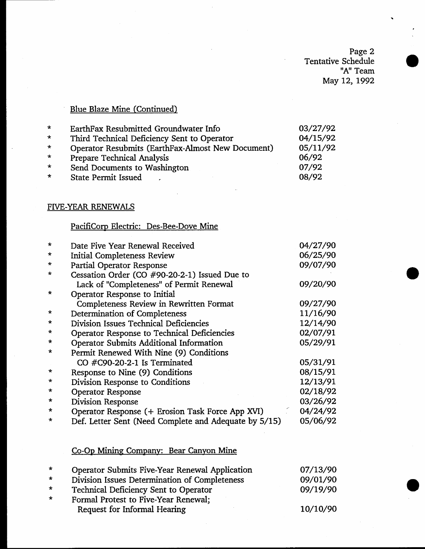Page 2 Tentative Schedule "A" Team May 12, 1992

## Blue Blaze Mine (Continued)

| $\star$ | EarthFax Resubmitted Groundwater Info             | 03/27/92 |
|---------|---------------------------------------------------|----------|
| $\star$ | Third Technical Deficiency Sent to Operator       | 04/15/92 |
| $\star$ | Operator Resubmits (EarthFax-Almost New Document) | 05/11/92 |
| $\star$ | <b>Prepare Technical Analysis</b>                 | 06/92    |
| $\star$ | Send Documents to Washington                      | 07/92    |
| $\star$ | <b>State Permit Issued</b>                        | 08/92    |
|         |                                                   |          |

### FIVE-YEAR RENEWALS

### PacifiCorp Electric: Des-Bee-Dove Mine

| $\star$ | Date Five Year Renewal Received                       | 04/27/90 |
|---------|-------------------------------------------------------|----------|
| $\ast$  | <b>Initial Completeness Review</b>                    | 06/25/90 |
| $\star$ | <b>Partial Operator Response</b>                      | 09/07/90 |
| *       | Cessation Order (CO #90-20-2-1) Issued Due to         |          |
|         | Lack of "Completeness" of Permit Renewal              | 09/20/90 |
| $\star$ | Operator Response to Initial                          |          |
|         | Completeness Review in Rewritten Format               | 09/27/90 |
| $\star$ | Determination of Completeness                         | 11/16/90 |
| $\star$ | Division Issues Technical Deficiencies                | 12/14/90 |
| $\star$ | Operator Response to Technical Deficiencies           | 02/07/91 |
| $\star$ | Operator Submits Additional Information               | 05/29/91 |
| $\star$ | Permit Renewed With Nine (9) Conditions               |          |
|         | CO $\#C90-20-2-1$ Is Terminated                       | 05/31/91 |
| $\star$ | Response to Nine (9) Conditions                       | 08/15/91 |
| $\star$ | Division Response to Conditions                       | 12/13/91 |
| $\star$ | <b>Operator Response</b>                              | 02/18/92 |
| *       | Division Response                                     | 03/26/92 |
| ∗       | Operator Response (+ Erosion Task Force App XVI)      | 04/24/92 |
| $\star$ | Def. Letter Sent (Need Complete and Adequate by 5/15) | 05/06/92 |
|         |                                                       |          |

### Co-Op Mining Companv: Bear Canvon Mine-

| $\star$ | Operator Submits Five-Year Renewal Application | 07/13/90 |
|---------|------------------------------------------------|----------|
| $\star$ | Division Issues Determination of Completeness  | 09/01/90 |
| $\star$ | Technical Deficiency Sent to Operator          | 09/19/90 |
| $\star$ | Formal Protest to Five-Year Renewal:           |          |
|         | Request for Informal Hearing                   | 10/10/90 |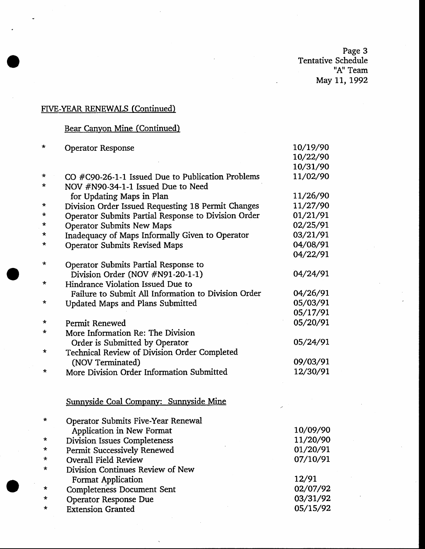Page 3<br>Tentative Schedule "A" Team May 11, 1992

## FIVE-YEAR RENEWALS (Continued)

# Bear Canyon Mine (Continued)

| *       | <b>Operator Response</b>                            | 10/19/90 |
|---------|-----------------------------------------------------|----------|
|         |                                                     | 10/22/90 |
|         |                                                     | 10/31/90 |
| *       | $CO$ #C90-26-1-1 Issued Due to Publication Problems | 11/02/90 |
| *       | NOV #N90-34-1-1 Issued Due to Need                  |          |
|         | for Updating Maps in Plan                           | 11/26/90 |
| *       | Division Order Issued Requesting 18 Permit Changes  | 11/27/90 |
| *       | Operator Submits Partial Response to Division Order | 01/21/91 |
| *       | <b>Operator Submits New Maps</b>                    | 02/25/91 |
| *       | Inadequacy of Maps Informally Given to Operator     | 03/21/91 |
| *       | <b>Operator Submits Revised Maps</b>                | 04/08/91 |
|         |                                                     | 04/22/91 |
| *       | Operator Submits Partial Response to                |          |
|         | Division Order (NOV #N91-20-1-1)                    | 04/24/91 |
| $\star$ | Hindrance Violation Issued Due to                   |          |
|         | Failure to Submit All Information to Division Order | 04/26/91 |
| *       | <b>Updated Maps and Plans Submitted</b>             | 05/03/91 |
|         |                                                     | 05/17/91 |
| *       | Permit Renewed                                      | 05/20/91 |
| $\star$ | More Information Re: The Division                   |          |
|         | Order is Submitted by Operator                      | 05/24/91 |
| *       | Technical Review of Division Order Completed        |          |
|         | (NOV Terminated)                                    | 09/03/91 |
| *       | More Division Order Information Submitted           | 12/30/91 |
|         |                                                     |          |
|         | Sunnyside Coal Company: Sunnyside Mine              |          |
| *       | <b>Operator Submits Five-Year Renewal</b>           |          |
|         | Application in New Format                           | 10/09/90 |
| *       | <b>Division Issues Completeness</b>                 | 11/20/90 |
| *       | Permit Successively Renewed                         | 01/20/91 |
| *       | <b>Overall Field Review</b>                         | 07/10/91 |
| $\star$ | Division Continues Review of New                    |          |
|         | <b>Format Application</b>                           | 12/91    |
| *       | <b>Completeness Document Sent</b>                   | 02/07/92 |
| *       | <b>Operator Response Due</b>                        | 03/31/92 |
| *       | <b>Extension Granted</b>                            | 05/15/92 |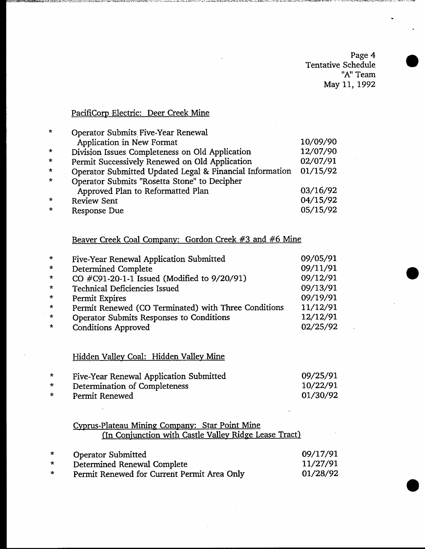Page 4 Tentative Schedule "A" Team May 11, 1992

## PacifiCorp Electric: Deer Creek Mine

| $\star$ | Operator Submits Five-Year Renewal                       |          |
|---------|----------------------------------------------------------|----------|
|         | Application in New Format                                | 10/09/90 |
| $\star$ | Division Issues Completeness on Old Application          | 12/07/90 |
| $\star$ | Permit Successively Renewed on Old Application           | 02/07/91 |
| $\star$ | Operator Submitted Updated Legal & Financial Information | 01/15/92 |
| $\star$ | Operator Submits "Rosetta Stone" to Decipher             |          |
|         | Approved Plan to Reformatted Plan                        | 03/16/92 |
| $\star$ | <b>Review Sent</b>                                       | 04/15/92 |
| $\star$ | Response Due                                             | 05/15/92 |

# Beaver Creek Coal Company: Gordon Creek #3 and #6 Mine

| $\star$ | Five-Year Renewal Application Submitted              | 09/05/91 |
|---------|------------------------------------------------------|----------|
| $\star$ | Determined Complete                                  | 09/11/91 |
| $\star$ | CO #C91-20-1-1 Issued (Modified to 9/20/91)          | 09/12/91 |
| $\star$ | <b>Technical Deficiencies Issued</b>                 | 09/13/91 |
| $\star$ | Permit Expires                                       | 09/19/91 |
| $\star$ | Permit Renewed (CO Terminated) with Three Conditions | 11/12/91 |
| $\star$ | Operator Submits Responses to Conditions             | 12/12/91 |
| $\star$ | <b>Conditions Approved</b>                           | 02/25/92 |

## Hidden Valley Coal: Hidden Valley Mine

|         | Five-Year Renewal Application Submitted | 09/25/91 |
|---------|-----------------------------------------|----------|
| $\star$ | Determination of Completeness           | 10/22/91 |
| $\star$ | Permit Renewed                          | 01/30/92 |

### Cyprus-Plateau Mining Company: Star Point Mine (In Conjunction with Castle Valley Ridge Lease Tract)

| $\star$ | <b>Operator Submitted</b>                   | 09/17/91 |
|---------|---------------------------------------------|----------|
| $\star$ | Determined Renewal Complete                 | 11/27/91 |
| $\star$ | Permit Renewed for Current Permit Area Only | 01/28/92 |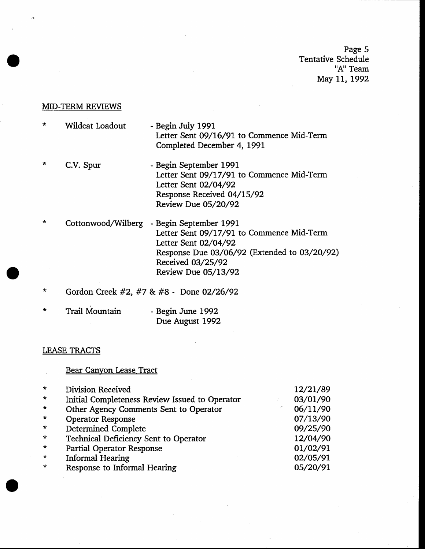Page 5 Tentative Schedule "A" Team May 11, 1992

#### **MID-TERM REVIEWS**

- \* Wildcat Loadout - Begin July 1991 Letter Sent O9/L6/91 to Commence Mid-Term Completed December 4, 1991
- \* C.V. Spur - Begin September 1991 Letter Sent 09/17/91 to Commence Mid-Term Letter Sent O2/O4/92 Response Received 04/15/92 Review Due O5/2O/92
- \* Cottonwood/Wilberg Begin September 1991 Letter Sent 09/17/91 to Commence Mid-Term Letter Sent O2/O4/92 Response Due 03/06/92 (Extended to 03/20/92) Received 03/25/92 Review Due 05/13/92
- \* Gordon Creek #2, #7 & #S Done 02/26/92
- Trail Mountain - Begin June 1992 Due August 1992

#### LEASE TRACTS

### Bear Canyon Lease Tract \* Division Received<br>\* Initial Completeness Review Issued to Operator<br>\* Other Agency Comments Sent to Operator<br>\* Operator Response<br>\* Ecchnical Deficiency Sent to Operator<br>\* Partial Operator Response<br>\* Informal Hearing<br>\* Res 12/21/89 03/01/90 06/11/90 07/13/90 09/2s/90 12/04/90 oL/02/91 02/05/91 os/20/9r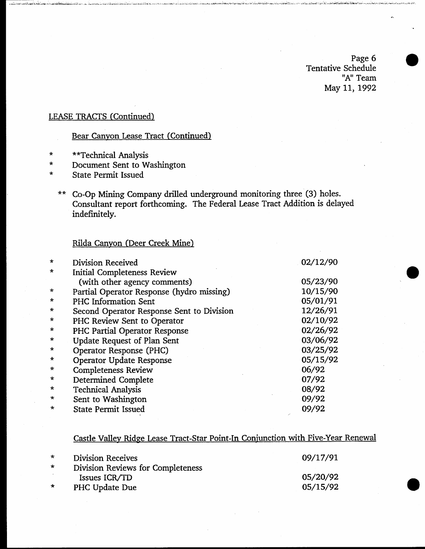Page 6 Tentative Schedule "A" Team May 11, 1992

## **LEASE TRACTS (Continued)**

# Bear Canyon Lease Tract (Continued)

- \*\*Technical Analysis  $\pmb{\star}$
- Document Sent to Washington  $\star$
- **State Permit Issued**  $\star$ 
	- \*\* Co-Op Mining Company drilled underground monitoring three (3) holes. Consultant report forthcoming. The Federal Lease Tract Addition is delayed indefinitely.

### Rilda Canyon (Deer Creek Mine)

| $\star$ | Division Received                         | 02/12/90 |
|---------|-------------------------------------------|----------|
| $\star$ | <b>Initial Completeness Review</b>        |          |
|         | (with other agency comments)              | 05/23/90 |
| $\star$ | Partial Operator Response (hydro missing) | 10/15/90 |
| $\star$ | <b>PHC Information Sent</b>               | 05/01/91 |
| $\star$ | Second Operator Response Sent to Division | 12/26/91 |
| $\star$ | PHC Review Sent to Operator               | 02/10/92 |
| $\star$ | PHC Partial Operator Response             | 02/26/92 |
| $\ast$  | <b>Update Request of Plan Sent</b>        | 03/06/92 |
| $\star$ | Operator Response (PHC)                   | 03/25/92 |
| $\star$ | <b>Operator Update Response</b>           | 05/15/92 |
| $\star$ | <b>Completeness Review</b>                | 06/92    |
| $\star$ | Determined Complete                       | 07/92    |
| $\ast$  | <b>Technical Analysis</b>                 | 08/92    |
| $\star$ | Sent to Washington                        | 09/92    |
| $\star$ | <b>State Permit Issued</b>                | 09/92    |

### Castle Valley Ridge Lease Tract-Star Point-In Conjunction with Five-Year Renewal

| $*$     | <b>Division Receives</b>                 | 09/17/91 |
|---------|------------------------------------------|----------|
| $\star$ | <b>Division Reviews for Completeness</b> |          |
|         | Issues ICR/TD                            | 05/20/92 |
| $\star$ | PHC Update Due                           | 05/15/92 |